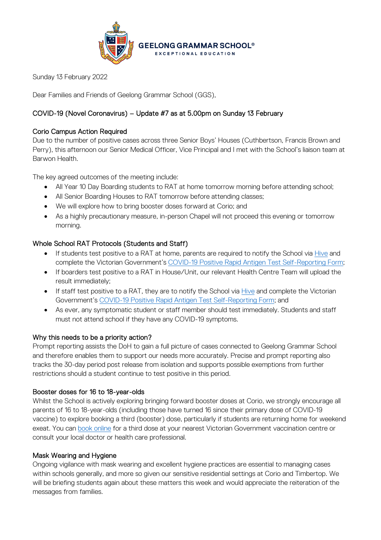

Sunday 13 February 2022

Dear Families and Friends of Geelong Grammar School (GGS),

# COVID-19 (Novel Coronavirus) – Update #7 as at 5.00pm on Sunday 13 February

## Corio Campus Action Required

Due to the number of positive cases across three Senior Boys' Houses (Cuthbertson, Francis Brown and Perry), this afternoon our Senior Medical Officer, Vice Principal and I met with the School's liaison team at Barwon Health.

The key agreed outcomes of the meeting include:

- All Year 10 Day Boarding students to RAT at home tomorrow morning before attending school;
- All Senior Boarding Houses to RAT tomorrow before attending classes;
- We will explore how to bring booster doses forward at Corio; and
- As a highly precautionary measure, in-person Chapel will not proceed this evening or tomorrow morning.

### Whole School RAT Protocols (Students and Staff)

- If students test positive to a RAT at home, parents are required to notify the School via [Hive](https://hive.ggs.vic.edu.au/homepage/7703) and complete the Victorian Government's [COVID-19 Positive Rapid Antigen Test Self-Reporting Form;](https://dhvicgovau.powerappsportals.com/rapid-antigen-test/)
- If boarders test positive to a RAT in House/Unit, our relevant Health Centre Team will upload the result immediately;
- If staff test positive to a RAT, they are to notify the School via [Hive](https://hive.ggs.vic.edu.au/homepage/7531) and complete the Victorian Government's [COVID-19 Positive Rapid Antigen Test Self-Reporting Form;](https://dhvicgovau.powerappsportals.com/rapid-antigen-test/) and
- As ever, any symptomatic student or staff member should test immediately. Students and staff must not attend school if they have any COVID-19 symptoms.

#### Why this needs to be a priority action?

Prompt reporting assists the DoH to gain a full picture of cases connected to Geelong Grammar School and therefore enables them to support our needs more accurately. Precise and prompt reporting also tracks the 30-day period post release from isolation and supports possible exemptions from further restrictions should a student continue to test positive in this period.

#### Booster doses for 16 to 18-year-olds

Whilst the School is actively exploring bringing forward booster doses at Corio, we strongly encourage all parents of 16 to 18-year-olds (including those have turned 16 since their primary dose of COVID-19 vaccine) to explore booking a third (booster) dose, particularly if students are returning home for weekend exeat. You can [book online](https://portal.cvms.vic.gov.au/) for a third dose at your nearest Victorian Government vaccination centre or consult your local doctor or health care professional.

#### Mask Wearing and Hygiene

Ongoing vigilance with mask wearing and excellent hygiene practices are essential to managing cases within schools generally, and more so given our sensitive residential settings at Corio and Timbertop. We will be briefing students again about these matters this week and would appreciate the reiteration of the messages from families.